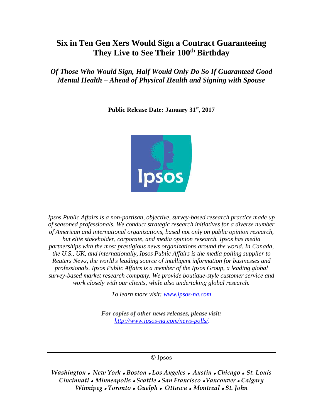# **Six in Ten Gen Xers Would Sign a Contract Guaranteeing They Live to See Their 100th Birthday**

*Of Those Who Would Sign, Half Would Only Do So If Guaranteed Good Mental Health – Ahead of Physical Health and Signing with Spouse* 

**Public Release Date: January 31st, 2017**



*Ipsos Public Affairs is a non-partisan, objective, survey-based research practice made up of seasoned professionals. We conduct strategic research initiatives for a diverse number of American and international organizations, based not only on public opinion research, but elite stakeholder, corporate, and media opinion research. Ipsos has media partnerships with the most prestigious news organizations around the world. In Canada, the U.S., UK, and internationally, Ipsos Public Affairs is the media polling supplier to Reuters News, the world's leading source of intelligent information for businesses and professionals. Ipsos Public Affairs is a member of the Ipsos Group, a leading global survey-based market research company. We provide boutique-style customer service and work closely with our clients, while also undertaking global research.*

*To learn more visit: [www.ipsos-na.com](http://www.ipsos-na.com/)*

*For copies of other news releases, please visit: [http://www.ipsos-na.com/news-polls/.](http://www.ipsos-na.com/news-polls/)*

#### © Ipsos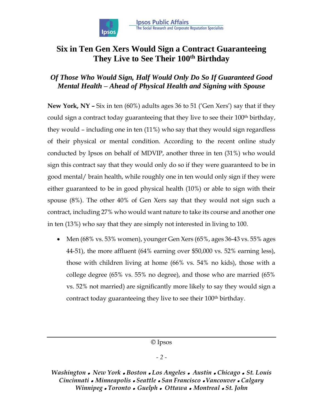

# **Six in Ten Gen Xers Would Sign a Contract Guaranteeing They Live to See Their 100th Birthday**

# *Of Those Who Would Sign, Half Would Only Do So If Guaranteed Good Mental Health – Ahead of Physical Health and Signing with Spouse*

**New York, NY –** Six in ten (60%) adults ages 36 to 51 ('Gen Xers') say that if they could sign a contract today guaranteeing that they live to see their 100<sup>th</sup> birthday, they would – including one in ten (11%) who say that they would sign regardless of their physical or mental condition. According to the recent online study conducted by Ipsos on behalf of MDVIP, another three in ten (31%) who would sign this contract say that they would only do so if they were guaranteed to be in good mental/ brain health, while roughly one in ten would only sign if they were either guaranteed to be in good physical health (10%) or able to sign with their spouse (8%). The other 40% of Gen Xers say that they would not sign such a contract, including 27% who would want nature to take its course and another one in ten (13%) who say that they are simply not interested in living to 100.

• Men  $(68\% \text{ vs. } 53\% \text{ women})$ , younger Gen Xers  $(65\% \text{, ages } 36-43 \text{ vs. } 55\% \text{ ages})$ 44-51), the more affluent (64% earning over \$50,000 vs. 52% earning less), those with children living at home (66% vs. 54% no kids), those with a college degree (65% vs. 55% no degree), and those who are married (65% vs. 52% not married) are significantly more likely to say they would sign a contract today guaranteeing they live to see their 100th birthday.

© Ipsos

## *- 2 -*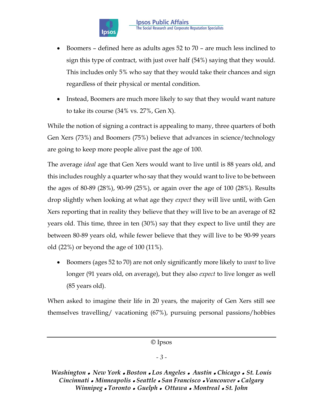

- Boomers defined here as adults ages 52 to 70 are much less inclined to sign this type of contract, with just over half (54%) saying that they would. This includes only 5% who say that they would take their chances and sign regardless of their physical or mental condition.
- Instead, Boomers are much more likely to say that they would want nature to take its course (34% vs. 27%, Gen X).

While the notion of signing a contract is appealing to many, three quarters of both Gen Xers (73%) and Boomers (75%) believe that advances in science/technology are going to keep more people alive past the age of 100.

The average *ideal* age that Gen Xers would want to live until is 88 years old, and this includes roughly a quarter who say that they would want to live to be between the ages of 80-89 (28%), 90-99 (25%), or again over the age of 100 (28%). Results drop slightly when looking at what age they *expect* they will live until, with Gen Xers reporting that in reality they believe that they will live to be an average of 82 years old. This time, three in ten (30%) say that they expect to live until they are between 80-89 years old, while fewer believe that they will live to be 90-99 years old (22%) or beyond the age of 100 (11%).

 Boomers (ages 52 to 70) are not only significantly more likely to *want* to live longer (91 years old, on average), but they also *expect* to live longer as well (85 years old).

When asked to imagine their life in 20 years, the majority of Gen Xers still see themselves travelling/ vacationing (67%), pursuing personal passions/hobbies

© Ipsos

## *- 3 -*

*Washington New York Boston Los Angeles Austin Chicago St. Louis Cincinnati Minneapolis Seattle San Francisco Vancouver Calgary Winnipeg Toronto Guelph Ottawa Montreal St. John*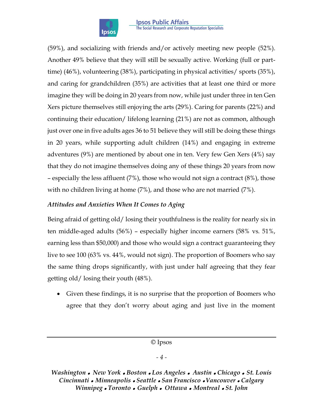

(59%), and socializing with friends and/or actively meeting new people (52%). Another 49% believe that they will still be sexually active. Working (full or parttime) (46%), volunteering (38%), participating in physical activities/ sports (35%), and caring for grandchildren (35%) are activities that at least one third or more imagine they will be doing in 20 years from now, while just under three in ten Gen Xers picture themselves still enjoying the arts (29%). Caring for parents (22%) and continuing their education/ lifelong learning (21%) are not as common, although just over one in five adults ages 36 to 51 believe they will still be doing these things in 20 years, while supporting adult children (14%) and engaging in extreme adventures (9%) are mentioned by about one in ten. Very few Gen Xers (4%) say that they do not imagine themselves doing any of these things 20 years from now – especially the less affluent (7%), those who would not sign a contract (8%), those with no children living at home (7%), and those who are not married (7%).

# *Attitudes and Anxieties When It Comes to Aging*

Being afraid of getting old/ losing their youthfulness is the reality for nearly six in ten middle-aged adults (56%) – especially higher income earners (58% vs. 51%, earning less than \$50,000) and those who would sign a contract guaranteeing they live to see 100 (63% vs. 44%, would not sign). The proportion of Boomers who say the same thing drops significantly, with just under half agreeing that they fear getting old/ losing their youth (48%).

 Given these findings, it is no surprise that the proportion of Boomers who agree that they don't worry about aging and just live in the moment

© Ipsos

#### *- 4 -*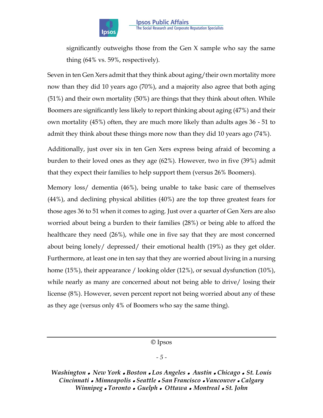

significantly outweighs those from the Gen X sample who say the same thing (64% vs. 59%, respectively).

Seven in ten Gen Xers admit that they think about aging/their own mortality more now than they did 10 years ago (70%), and a majority also agree that both aging (51%) and their own mortality (50%) are things that they think about often. While Boomers are significantly less likely to report thinking about aging (47%) and their own mortality (45%) often, they are much more likely than adults ages 36 - 51 to admit they think about these things more now than they did 10 years ago (74%).

Additionally, just over six in ten Gen Xers express being afraid of becoming a burden to their loved ones as they age (62%). However, two in five (39%) admit that they expect their families to help support them (versus 26% Boomers).

Memory loss/ dementia (46%), being unable to take basic care of themselves (44%), and declining physical abilities (40%) are the top three greatest fears for those ages 36 to 51 when it comes to aging. Just over a quarter of Gen Xers are also worried about being a burden to their families (28%) or being able to afford the healthcare they need (26%), while one in five say that they are most concerned about being lonely/ depressed/ their emotional health (19%) as they get older. Furthermore, at least one in ten say that they are worried about living in a nursing home (15%), their appearance / looking older (12%), or sexual dysfunction (10%), while nearly as many are concerned about not being able to drive/ losing their license (8%). However, seven percent report not being worried about any of these as they age (versus only 4% of Boomers who say the same thing).

© Ipsos

#### *- 5 -*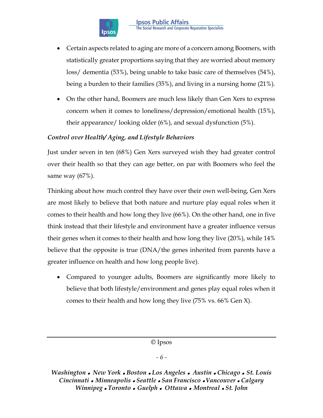

- Certain aspects related to aging are more of a concern among Boomers, with statistically greater proportions saying that they are worried about memory loss/ dementia (53%), being unable to take basic care of themselves (54%), being a burden to their families (35%), and living in a nursing home (21%).
- On the other hand, Boomers are much less likely than Gen Xers to express concern when it comes to loneliness/depression/emotional health (15%), their appearance/ looking older (6%), and sexual dysfunction (5%).

# *Control over Health/ Aging, and Lifestyle Behaviors*

Just under seven in ten (68%) Gen Xers surveyed wish they had greater control over their health so that they can age better, on par with Boomers who feel the same way (67%).

Thinking about how much control they have over their own well-being, Gen Xers are most likely to believe that both nature and nurture play equal roles when it comes to their health and how long they live (66%). On the other hand, one in five think instead that their lifestyle and environment have a greater influence versus their genes when it comes to their health and how long they live (20%), while 14% believe that the opposite is true (DNA/the genes inherited from parents have a greater influence on health and how long people live).

 Compared to younger adults, Boomers are significantly more likely to believe that both lifestyle/environment and genes play equal roles when it comes to their health and how long they live (75% vs. 66% Gen X).

© Ipsos

## *- 6 -*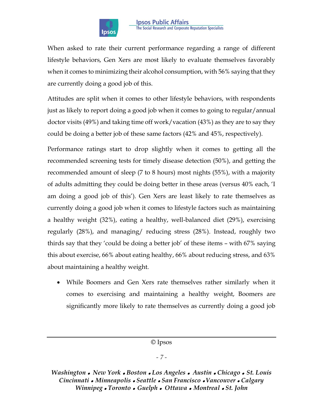

When asked to rate their current performance regarding a range of different lifestyle behaviors, Gen Xers are most likely to evaluate themselves favorably when it comes to minimizing their alcohol consumption, with 56% saying that they are currently doing a good job of this.

Attitudes are split when it comes to other lifestyle behaviors, with respondents just as likely to report doing a good job when it comes to going to regular/annual doctor visits (49%) and taking time off work/vacation (43%) as they are to say they could be doing a better job of these same factors (42% and 45%, respectively).

Performance ratings start to drop slightly when it comes to getting all the recommended screening tests for timely disease detection (50%), and getting the recommended amount of sleep (7 to 8 hours) most nights (55%), with a majority of adults admitting they could be doing better in these areas (versus 40% each, 'I am doing a good job of this'). Gen Xers are least likely to rate themselves as currently doing a good job when it comes to lifestyle factors such as maintaining a healthy weight (32%), eating a healthy, well-balanced diet (29%), exercising regularly (28%), and managing/ reducing stress (28%). Instead, roughly two thirds say that they 'could be doing a better job' of these items – with 67% saying this about exercise, 66% about eating healthy, 66% about reducing stress, and 63% about maintaining a healthy weight.

 While Boomers and Gen Xers rate themselves rather similarly when it comes to exercising and maintaining a healthy weight, Boomers are significantly more likely to rate themselves as currently doing a good job

© Ipsos

## *- 7 -*

*Washington New York Boston Los Angeles Austin Chicago St. Louis Cincinnati Minneapolis Seattle San Francisco Vancouver Calgary Winnipeg Toronto Guelph Ottawa Montreal St. John*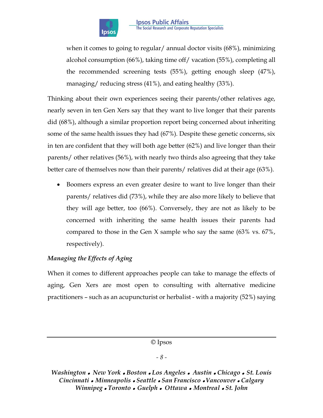

when it comes to going to regular/ annual doctor visits (68%), minimizing alcohol consumption (66%), taking time off/ vacation (55%), completing all the recommended screening tests (55%), getting enough sleep (47%), managing/ reducing stress (41%), and eating healthy (33%).

Thinking about their own experiences seeing their parents/other relatives age, nearly seven in ten Gen Xers say that they want to live longer that their parents did (68%), although a similar proportion report being concerned about inheriting some of the same health issues they had (67%). Despite these genetic concerns, six in ten are confident that they will both age better (62%) and live longer than their parents/ other relatives (56%), with nearly two thirds also agreeing that they take better care of themselves now than their parents/ relatives did at their age (63%).

 Boomers express an even greater desire to want to live longer than their parents/ relatives did (73%), while they are also more likely to believe that they will age better, too (66%). Conversely, they are not as likely to be concerned with inheriting the same health issues their parents had compared to those in the Gen X sample who say the same (63% vs. 67%, respectively).

# *Managing the Effects of Aging*

When it comes to different approaches people can take to manage the effects of aging, Gen Xers are most open to consulting with alternative medicine practitioners – such as an acupuncturist or herbalist - with a majority (52%) saying

© Ipsos

#### *- 8 -*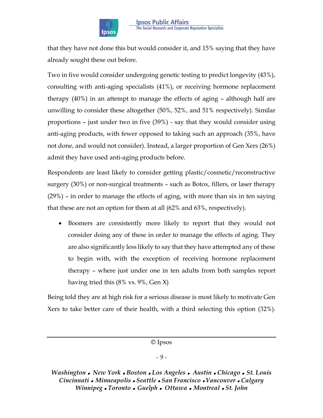

that they have not done this but would consider it, and 15% saying that they have already sought these out before.

Two in five would consider undergoing genetic testing to predict longevity (43%), consulting with anti-aging specialists (41%), or receiving hormone replacement therapy (40%) in an attempt to manage the effects of aging – although half are unwilling to consider these altogether (50%, 52%, and 51% respectively). Similar proportions – just under two in five (39%) - say that they would consider using anti-aging products, with fewer opposed to taking such an approach (35%, have not done, and would not consider). Instead, a larger proportion of Gen Xers (26%) admit they have used anti-aging products before.

Respondents are least likely to consider getting plastic/cosmetic/reconstructive surgery (30%) or non-surgical treatments – such as Botox, fillers, or laser therapy (29%) – in order to manage the effects of aging, with more than six in ten saying that these are not an option for them at all (62% and 63%, respectively).

 Boomers are consistently more likely to report that they would not consider doing any of these in order to manage the effects of aging. They are also significantly less likely to say that they have attempted any of these to begin with, with the exception of receiving hormone replacement therapy – where just under one in ten adults from both samples report having tried this (8% vs. 9%, Gen X)

Being told they are at high risk for a serious disease is most likely to motivate Gen Xers to take better care of their health, with a third selecting this option (32%).

© Ipsos

#### *- 9 -*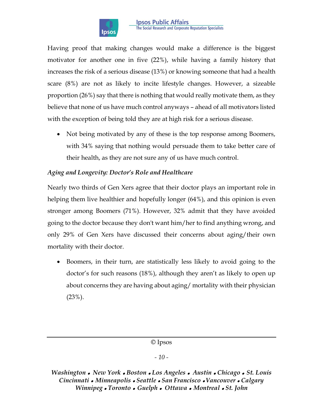

Having proof that making changes would make a difference is the biggest motivator for another one in five (22%), while having a family history that increases the risk of a serious disease (13%) or knowing someone that had a health scare (8%) are not as likely to incite lifestyle changes. However, a sizeable proportion (26%) say that there is nothing that would really motivate them, as they believe that none of us have much control anyways – ahead of all motivators listed with the exception of being told they are at high risk for a serious disease.

• Not being motivated by any of these is the top response among Boomers, with 34% saying that nothing would persuade them to take better care of their health, as they are not sure any of us have much control.

# *Aging and Longevity: Doctor's Role and Healthcare*

Nearly two thirds of Gen Xers agree that their doctor plays an important role in helping them live healthier and hopefully longer (64%), and this opinion is even stronger among Boomers (71%). However, 32% admit that they have avoided going to the doctor because they don't want him/her to find anything wrong, and only 29% of Gen Xers have discussed their concerns about aging/their own mortality with their doctor.

 Boomers, in their turn, are statistically less likely to avoid going to the doctor's for such reasons (18%), although they aren't as likely to open up about concerns they are having about aging/ mortality with their physician  $(23\%)$ .

© Ipsos

# *- 10 -*

*Washington New York Boston Los Angeles Austin Chicago St. Louis Cincinnati Minneapolis Seattle San Francisco Vancouver Calgary Winnipeg Toronto Guelph Ottawa Montreal St. John*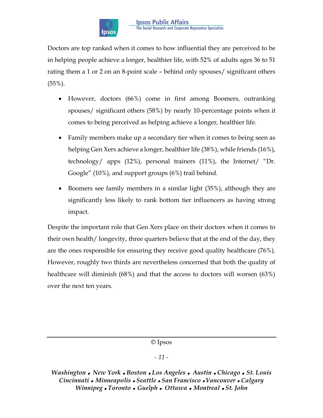

Doctors are top ranked when it comes to how influential they are perceived to be in helping people achieve a longer, healthier life, with 52% of adults ages 36 to 51 rating them a 1 or 2 on an 8-point scale – behind only spouses/ significant others (55%).

- However, doctors (66%) come in first among Boomers, outranking spouses/ significant others (58%) by nearly 10-percentage points when it comes to being perceived as helping achieve a longer, healthier life.
- Family members make up a secondary tier when it comes to being seen as helping Gen Xers achieve a longer, healthier life (38%), while friends (16%), technology/ apps (12%), personal trainers (11%), the Internet/ "Dr. Google" (10%), and support groups (6%) trail behind.
- Boomers see family members in a similar light (35%), although they are significantly less likely to rank bottom tier influencers as having strong impact.

Despite the important role that Gen Xers place on their doctors when it comes to their own health/ longevity, three quarters believe that at the end of the day, they are the ones responsible for ensuring they receive good quality healthcare (76%). However, roughly two thirds are nevertheless concerned that both the quality of healthcare will diminish (68%) and that the access to doctors will worsen (63%) over the next ten years.

© Ipsos

#### *- 11 -*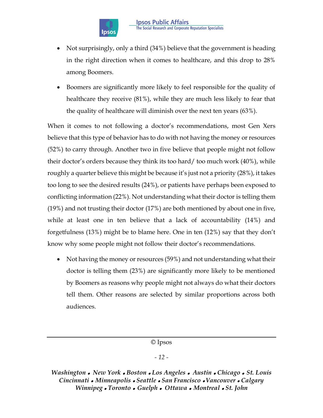

- Not surprisingly, only a third (34%) believe that the government is heading in the right direction when it comes to healthcare, and this drop to 28% among Boomers.
- Boomers are significantly more likely to feel responsible for the quality of healthcare they receive (81%), while they are much less likely to fear that the quality of healthcare will diminish over the next ten years (63%).

When it comes to not following a doctor's recommendations, most Gen Xers believe that this type of behavior has to do with not having the money or resources (52%) to carry through. Another two in five believe that people might not follow their doctor's orders because they think its too hard/ too much work (40%), while roughly a quarter believe this might be because it's just not a priority (28%), it takes too long to see the desired results (24%), or patients have perhaps been exposed to conflicting information (22%). Not understanding what their doctor is telling them (19%) and not trusting their doctor (17%) are both mentioned by about one in five, while at least one in ten believe that a lack of accountability (14%) and forgetfulness (13%) might be to blame here. One in ten (12%) say that they don't know why some people might not follow their doctor's recommendations.

• Not having the money or resources (59%) and not understanding what their doctor is telling them (23%) are significantly more likely to be mentioned by Boomers as reasons why people might not always do what their doctors tell them. Other reasons are selected by similar proportions across both audiences.

© Ipsos

## *- 12 -*

*Washington New York Boston Los Angeles Austin Chicago St. Louis Cincinnati Minneapolis Seattle San Francisco Vancouver Calgary Winnipeg Toronto Guelph Ottawa Montreal St. John*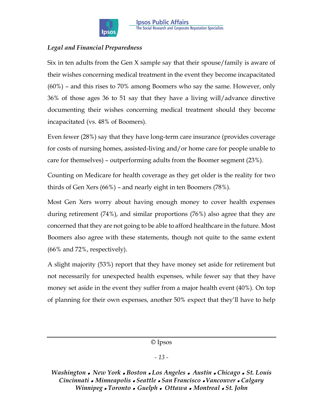

# *Legal and Financial Preparedness*

Six in ten adults from the Gen X sample say that their spouse/family is aware of their wishes concerning medical treatment in the event they become incapacitated (60%) – and this rises to 70% among Boomers who say the same. However, only 36% of those ages 36 to 51 say that they have a living will/advance directive documenting their wishes concerning medical treatment should they become incapacitated (vs. 48% of Boomers).

Even fewer (28%) say that they have long-term care insurance (provides coverage for costs of nursing homes, assisted-living and/or home care for people unable to care for themselves) – outperforming adults from the Boomer segment (23%).

Counting on Medicare for health coverage as they get older is the reality for two thirds of Gen Xers (66%) – and nearly eight in ten Boomers (78%).

Most Gen Xers worry about having enough money to cover health expenses during retirement (74%), and similar proportions (76%) also agree that they are concerned that they are not going to be able to afford healthcare in the future. Most Boomers also agree with these statements, though not quite to the same extent (66% and 72%, respectively).

A slight majority (53%) report that they have money set aside for retirement but not necessarily for unexpected health expenses, while fewer say that they have money set aside in the event they suffer from a major health event (40%). On top of planning for their own expenses, another 50% expect that they'll have to help

© Ipsos

## *- 13 -*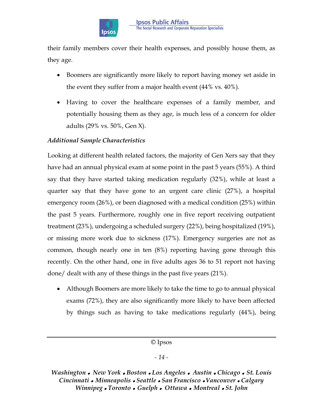

their family members cover their health expenses, and possibly house them, as they age.

- Boomers are significantly more likely to report having money set aside in the event they suffer from a major health event (44% vs. 40%).
- Having to cover the healthcare expenses of a family member, and potentially housing them as they age, is much less of a concern for older adults (29% vs. 50%, Gen X).

# *Additional Sample Characteristics*

Looking at different health related factors, the majority of Gen Xers say that they have had an annual physical exam at some point in the past 5 years (55%). A third say that they have started taking medication regularly (32%), while at least a quarter say that they have gone to an urgent care clinic (27%), a hospital emergency room (26%), or been diagnosed with a medical condition (25%) within the past 5 years. Furthermore, roughly one in five report receiving outpatient treatment (23%), undergoing a scheduled surgery (22%), being hospitalized (19%), or missing more work due to sickness (17%). Emergency surgeries are not as common, though nearly one in ten (8%) reporting having gone through this recently. On the other hand, one in five adults ages 36 to 51 report not having done/ dealt with any of these things in the past five years (21%).

 Although Boomers are more likely to take the time to go to annual physical exams (72%), they are also significantly more likely to have been affected by things such as having to take medications regularly (44%), being

© Ipsos

## *- 14 -*

*Washington New York Boston Los Angeles Austin Chicago St. Louis Cincinnati Minneapolis Seattle San Francisco Vancouver Calgary Winnipeg Toronto Guelph Ottawa Montreal St. John*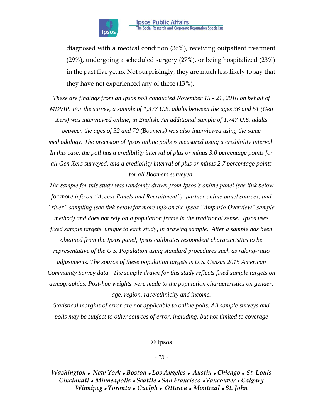

diagnosed with a medical condition (36%), receiving outpatient treatment (29%), undergoing a scheduled surgery (27%), or being hospitalized (23%) in the past five years. Not surprisingly, they are much less likely to say that they have not experienced any of these (13%).

*These are findings from an Ipsos poll conducted November 15 - 21, 2016 on behalf of MDVIP. For the survey, a sample of 1,377 U.S. adults between the ages 36 and 51 (Gen Xers) was interviewed online, in English. An additional sample of 1,747 U.S. adults* 

*between the ages of 52 and 70 (Boomers) was also interviewed using the same methodology. The precision of Ipsos online polls is measured using a credibility interval. In this case, the poll has a credibility interval of plus or minus 3.0 percentage points for all Gen Xers surveyed, and a credibility interval of plus or minus 2.7 percentage points for all Boomers surveyed.*

*The sample for this study was randomly drawn from Ipsos's online panel (see link below for more info on "Access Panels and Recruitment"), partner online panel sources, and "river" sampling (see link below for more info on the Ipsos "Ampario Overview" sample method) and does not rely on a population frame in the traditional sense. Ipsos uses fixed sample targets, unique to each study, in drawing sample. After a sample has been obtained from the Ipsos panel, Ipsos calibrates respondent characteristics to be representative of the U.S. Population using standard procedures such as raking-ratio adjustments. The source of these population targets is U.S. Census 2015 American Community Survey data. The sample drawn for this study reflects fixed sample targets on demographics. Post-hoc weights were made to the population characteristics on gender, age, region, race/ethnicity and income.* 

*Statistical margins of error are not applicable to online polls. All sample surveys and polls may be subject to other sources of error, including, but not limited to coverage* 

© Ipsos

#### *- 15 -*